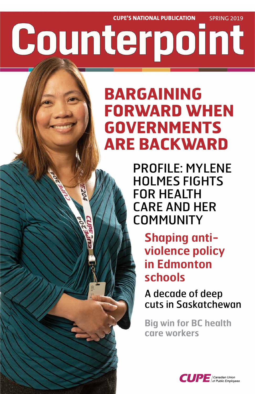# **CUPE'S NATIONAL PUBLICATION** SPRING 2019 Counterpoint

## **BARGAINING FORWARD WHEN GOVERNMENTS ARE BACKWARD**

PROFILE: MYLENE HOLMES FIGHTS FOR HEALTH CARE AND HER **COMMUNITY** 

> **Shaping antiviolence policy in Edmonton schools**



## A decade of deep cuts in Saskatchewan

## **Big win for BC health care workers**

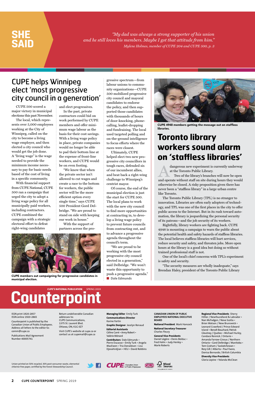**2 CUPE COUNTERPOINT** SPRING 2019

CUPE 500 scored a major victory in municipal elections this past November.

The local, which represents over 5,000 employees working at the City of Winnipeg, called on the city to become a living wage employer, and then elected a city council who would get the job done. A "living wage" is the wage needed to provide the minimum income necessary to pay for basic needs based of the cost of living in a specific community.

With financial support from CUPE National, CUPE 500 ran a campaign that urged the city to adopt a living wage policy for all municipally paid workers, including contractors. CUPE combined the campaign with a strategic electoral effort to defeat right-wing candidates

and elect progressives.

In the past, private contractors could bid on work performed by CUPE members and offer minimum wage labour as the basis for their cost savings. With a living wage policy in place, private companies would no longer be able to pad their bottom line at the expense of front-line workers, and CUPE would be on even footing.

> "We are proud to be working with the most progressive city council elected in a generation," said Delbridge. "We won't waste this opportunity to push a progressive agenda." ■ **Dale Edmunds**

"We know that when the private sector isn't allowed to cut wages and create a race to the bottom for workers, the public sector will be the more efficient option every single time," says CUPE 500 President Gord Delbridge. "We are proud to stand on side with keeping our work in house."

With the support of partners across the progressive spectrum—from labour unions to community organizations—CUPE 500 mobilized progressive city council and mayoral candidates to endorse the policy, and then supported those candidates with thousands of hours of door-knocking, phonecalling, leaflet-dropping and fundraising. The local used targeted polling and on-the-ground intelligence to focus efforts where the races were closest.

Ultimately, CUPE helped elect two new progressive city councillors in tough races, defended six of our incumbent allies, and beat back a right-wing challenge to Winnipeg's centrist mayor.

dangerous new experiment is currently underway at the Toronto Public Library.

Of course, the end of the municipal election is just the start for CUPE 500. The local plans to work with the new city council to find more opportunities at contracting in, to develop a living wage policy to prevent future councils from contracting out, and to advance a progressive agenda throughout the council's term.

*"My dad was always a strong supporter of his union and he still loves his members. Maybe I got that attitude from him." Mylene Holmes, member of CUPE 204 and CUPE 500, p. 3*

## **SHE SAID**

Union-printed on 50% recycled, 30% post-consumer waste, elemental chlorine-free paper, certified by the Forest Stewardship Council.





#### ISSN print 1920-2857 ISSN online 1920-2865

Counterpoint is published by the Canadian Union of Public Employees. Address all letters to the editor to: comm@cupe.ca

Publications Mail Agreement Number 40005741

Return undeliverable Canadian addresses to: CUPE Communications, 1375 St. Laurent Blvd. Ottawa, ON, K1G 0Z7

Visit CUPE's website at cupe.ca or contact us at cupemail@cupe.ca

**Managing Editor** Emily Turk **Communications Director** Karine Fortin

**Graphic Designer** Jocelyn Renaud

**Editorial Assistants** Céline Carré • Anny Robert • Valérie Ménard

**Contributors** Dale Edmunds • Pierre Ducasse • Emily Turk • Angela MacEwen • Tria Donaldson • Lisa Djevahirdjian • HEU • David Robbins

**CANADIAN UNION OF PUBLIC EMPLOYEES NATIONAL EXECUTIVE BOARD**

**National President** Mark Hancock

**National Secretary-Treasurer** Charles Fleury

**General Vice-Presidents** Daniel Légère • Denis Bolduc • Fred Hahn • Judy Henley • Marle Roberts

#### **Regional Vice-Presidents** Sherry Hillier / Newfoundland & Labrador • Nan McFadgen / Nova Scotia • Brien Watson / New Brunswick • Leonard Crawford / Prince Edward Island • Benoît Bouchard, Patrick Gloutney / Quebec • Michael Hurley, Candace Rennick / Ontario • Amanda Farrow-Giroux / Northern Ontario • Gord Delbridge / Manitoba • Tom Graham / Saskatchewan • Rory Gill / Alberta • Paul Faoro, Donisa Bernardo / British Columbia

**Diversity Vice-Presidents** Gloria Lepine • Yolanda McClean

## Counterpoint

Two of the library's branches will now be open and operate without staff on site during hours they would otherwise be closed. A risky proposition given there has never been a "staffless library" in a large urban centre like Toronto.

The Toronto Public Library (TPL) is no stranger to innovation. Libraries are often early adopters of technology, and TPL was one of the first places in the city to offer public access to the Internet. But in its rush toward automation, the library is jeopardizing the personal security of its patrons—and the job security of its workers.

Rightfully, library workers are fighting back. CUPE 4948 is mounting a campaign to warn the public about the potential health and safety hazards of staffless libraries. The local believes staffless libraries will hurt services, reduce security and safety, and threaten jobs. More open hours at the library is a good idea but doing so without trained professional staff is not.

One of the local's chief concerns with TPL's experiment is safety and security.

"The security measures are wholly inadequate," says Brendan Haley, president of the Toronto Public Library

### CUPE helps Winnipeg elect 'most progressive city council in a generation'

## **Toronto library workers sound alarm on 'staffless libraries'**



CUPE 4948 members getting the message out on staffless libraries.



CUPE members out campaigning for progressive candidates in municipal election.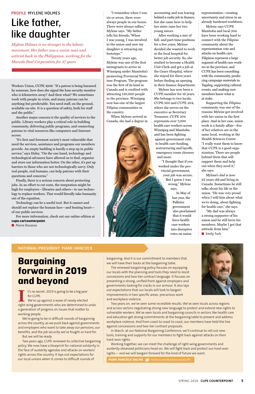## **Bargaining forward in 2019 and beyond**

#### **NATIONAL PRESIDENT** MARK HANCOCK

"I remember when I was six or seven, there were always people in our house. There were always rallies," Mylene says. "My father tells his friends, 'When I was young, I was involved in the union and now my daughter is retracing my footsteps.'"

Twenty years ago, Mylene was one of the first immigrants to arrive in Winnipeg under Manitoba's pioneering Provincial Nominee Program. The program was the first of its kind in Canada and is credited with attracting 130,000 people to the province. Winnipeg now has one of the largest Filipino communities in the country.

When Mylene arrived in Canada, she had a degree in accounting and was leaving behind a cushy job in finance, but she came here to help her sister raise her two young nieces.

After working a mix of full- and part-time positions for a few years, Mylene decided she wanted to work at the local hospital for better job security. So, she studied to become a Health Unit Clerk and got a job at the Grace Hospital, where she stayed for three years before finding an opening in their finance department.

Mylene has now been a CUPE member for 16 years. She belongs to two locals, CUPE 500 and CUPE 204, where she serves on the executive as Secretary Treasurer. CUPE 204 represents over 7,000 health care workers across Winnipeg and Manitoba and has been fighting against government cuts to health care funding, restructuring and layoffs, emergency room closures and more.

> "My dad was always a strong supporter of his union and he still loves his members. Maybe I got that attitude from him." ■ **Emily Turk**

"I thought that if you worked under the provincial government, your job was secure. But I guess I was wrong," Mylene says.

> In May of last year, the Pallister government also proclaimed that it would force health care workers into disruptive votes on union

representation—creating uncertainty and stress in an already burdened workforce.

Mylene says CUPE Manitoba and local 204 have been working hard to connect with the Filipino community about the representation vote and attacks on health care. Filipinos represent a large segment of health care workers in the province, and CUPE has been consulting with the community, producing campaign materials in Tagalog, supporting cultural events, and making sure members know what is at stake.

Supporting the Filipino community was one of the reasons Mylene got involved with her union in the first place. And in her case, union work is a family affair—five of her relatives are in the same local, working at the Health Sciences Centre. "I really want them to know that CUPE is a good organization. There are people behind them that will support them and help out when they need it," she says.

Mylene's dad is now 92 years old and living in Canada. Sometimes he still talks about his life in the union. "He was very proud when I told him about what we're doing, about fighting for health care," she says.

#### PROFILE MYLENE HOLMES

## Like father, like daughter

Workers Union, CUPE 4948. "If a patron is being harassed by someone, how does she signal the lone security monitor who is kilometres away? And then what? We sometimes work with people in crisis, and many patrons can be anything but predictable. You need staff, on the ground, available on-site. It is a question of safety, both for staff and the public."

Another major concern is the quality of services to the public. Library workers play a critical role in building community, delivering public programs, and connecting patrons to vital resources like computers and Internet access.

"It's first and foremost society's most vulnerable that need the services, assistance and programs our members provide. An empty building is hardly a step up in public service," says Haley. "On the one hand, technology and technological advances have allowed us to find, organize and store our information better. On the other, it's put up barriers to those who are not technologically savvy. Only real people, real humans, can help patrons with their questions and concerns."

Finally, there is a serious concern about protecting jobs. In an effort to cut costs, the temptation might be high for employers—libraries and others—to use technology to replace workers. That would literally take humanity out of the equation.

Technology can be a useful tool. But it cannot and should not replace the human face—and beating heart of our public services.

For more information, check out our online edition at **cupe.ca/counterpoint**.

■ **Pierre Ducasse**

**I** t's no secret: 2019 is going to be a big year for CUPE.

We're up against a wave of newly-elected right-wing governments who are determined to undo a generation of progress on issues that matter to working people.

We're going to be in difficult rounds of bargaining across the country, as we push back against governments and employers who want to take away our pensions, our benefits, and the job security we've fought so hard for. But we will be ready.

Two years ago, CUPE renewed its collective bargaining policy. We now have a blueprint for national solidarity in the face of austerity agendas and attacks on workers' rights across the country. It lays out expectations for our local unions when it comes to difficult rounds of

bargaining. And it is our commitment to members that we will have their backs at the bargaining table.

The renewed bargaining policy focuses on equipping our locals with the planning and tools they need to resist concessions and two-tier contract language. It focuses on presenting a strong, unified front against employers and governments looking for cracks in our armour. It also lays out expectations that our locals will look to bargain improvements in two specific areas: precarious work and workplace violence.



Two years on, we've seen some incredible results. We've seen locals across regions and across sectors negotiating strong new language to protect and extend new rights to vulnerable workers. We've seen locals and bargaining councils in sectors like health care and education get strong commitments at the bargaining table to prevent and address workplace violence. And from coast to coast to coast, our members have held the line against concessions and two-tier contract proposals.

In March, at our National Bargaining Conference, we'll continue to roll out new tools, training and supports for our members to fight back against attacks on their hard-won rights.

Working together, we can meet the challenge of right-wing governments and austerity-obsessed politicians head-on. We will fight back and protect our hard-won rights— and we will bargain forward for the kind of future we want.

**MARK HANCOCK ONLINE 3** twitter.com/MarkHancockCUPE

*Mylene Holmes is no stranger to the labour movement. Her father was a union man and activist back in the Philippines, working for the Marcelo Steel Corporation for 37 years.*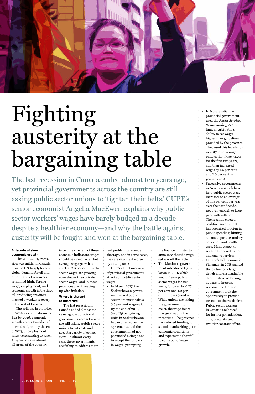#### **A decade of slow economic growth**

The 2008-2009 recession was milder in Canada than the U.S. largely because global demand for oil and other natural resources remained high. Strong wage, employment, and

economic growth in the three oil-producing provinces masked a weaker recovery in the rest of Canada.

The collapse in oil prices in 2014 was felt nationwide. But by 2016, economic growth across Canada had normalized, and by the end of 2017, unemployment rates were starting to reach 40-year lows in almost all areas of the country.

Given the strength of these economic indicators, wages should be rising faster, but average wage growth is stuck at 2.5 per cent. Public sector wages are growing even slower than private sector wages, and in most provinces aren't keeping

up with inflation.

#### **Where is the end to austerity?**

The last recession in Canada ended almost ten years ago, yet provincial governments across Canada are still asking public sector unions to cut costs and accept a variety of concessions. In almost every case, these governments are failing to address their

real problem, a revenue shortage, and in some cases, they are making it worse by cutting taxes.

Here's a brief overview of provincial government attacks on public sector wages:

• In March 2017, the

Saskatchewan government asked public sector unions to take a 3.5 per cent wage cut. By the end of 2018, 34 of 39 bargaining units in Saskatchewan had expired collective agreements, and the government had not persuaded a single one to accept the rollback in wages, prompting

the finance minister to announce that the wage cut was off the table. • The Manitoba government introduced legislation in 2016 which would freeze public sector wages for two years, followed by 0.75

per cent and 1.0 per cent in years 3 and 4. While unions are taking the government to court, the wage freeze may go ahead in the meantime. The province has reduced funding to school boards citing poor economic conditions and expects the shortfall to come out of wage growth.

- In Nova Scotia, the provincial government used the *Public Services Sustainability Act* to limit an arbitrator's ability to set wages higher than guidelines provided by the province. They used this legislation in 2017 to set a wage pattern that froze wages for the first two years, and then increased wages by 1.5 per cent and 1.0 per cent in years 3 and 4.
- Successive governments in New Brunswick have held public sector wage increases to an average of one per cent per year over the past decade, not even enough to keep pace with inflation. The recently elected coalition government has promised to reign in public spending, hinting at cuts to post-secondary education and health care. Many expect to see further privatization and cuts to services. • Ontario's Fall Economic
- Statement in 2018 painted the picture of a large deficit and unsustainable debt. Instead of looking at ways to increase revenue, the Ontario

government took the opportunity to provide tax cuts to the wealthiest. Public sector workers in Ontario are braced for further privatization, cuts, precarity, and two-tier contract offers.

**4 CUPE COUNTERPOINT** SPRING 2019



# Fighting austerity at the bargaining table

The last recession in Canada ended almost ten years ago, yet provincial governments across the country are still asking public sector unions to 'tighten their belts.' CUPE's senior economist Angella MacEwen explains why public sector workers' wages have barely budged in a decade despite a healthier economy—and why the battle against austerity will be fought and won at the bargaining table.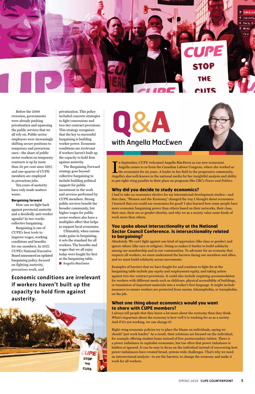

Before the 2008 recession, governments were already pushing privatization and squeezing the public services that we all rely on. Public sector employers were increasingly shifting secure positions to temporary and precarious ones—the share of public sector workers on temporary contracts is up by more than 50 per cent since 1997, and one-quarter of CUPE members are employed in precarious jobs.

Ten years of austerity have only made matters worse.

#### **Bargaining forward**

How can we fight back against provincial austerity and a decidedly anti-worker agenda? In two words: collective bargaining.

Bargaining is one of CUPE's best tools to improve wages, working conditions and benefits for our members. In 2017, CUPE's National Executive Board announced an updated bargaining policy, focused on fighting austerity, precarious work, and

privatization. This policy included concrete strategies to fight concessions and two-tier contract provisions. This strategy recognizes that the key to successful bargaining is building worker power. Economic conditions are irrelevant if workers haven't built up the capacity to hold firm against austerity.

The Bargaining Forward strategy goes beyond collective bargaining to include building political support for public investment in the work and services performed by CUPE members. Strong public services benefit the broader community, but higher wages for public sector workers also have a multiplier effect that helps to support local economies.

Ultimately, when unions make gains in bargaining, it sets the standard for all workers. The benefits and wages that we all enjoy today were fought for first at the bargaining table. ■ **Angella MacEwen**

**Economic conditions are irrelevant** 



**if workers haven't built up the** 

#### **capacity to hold firm against austerity.**





#### **Why did you decide to study economics?**

I had to take an economics elective for my international development studies—and that class, "Women and the Economy," changed the way I thought about economics. I learned that you could use economics for good! I also learned how some people have more economic bargaining power than others based on their networks, their class, their race, their sex or gender identity, and why we as a society value some kinds of work more than others.

#### **You spoke about intersectionality at the National Sector Council Conference. Is intersectionality related to bargaining?**

Absolutely. We can't fight against one kind of oppression (like class or gender) and ignore others (like race or religion). Doing so makes it harder to build solidarity among our membership and in our communities. To advocate for an economy that respects all workers, we must understand the barriers facing our members and allies, and we must build solidarity across movements.

Examples of barriers that we have fought for and continue to fight for at the bargaining table include pay equity and employment equity, and taking action against two-tier contract provisions. It could also include requiring accommodation for workers with different needs such as childcare, physical accessibility of buildings, or translation of important materials into a worker's first language. It might include measures to ensure workers are protected from racism, Islamophobia, or transphobia on the job.

#### **What one thing about economics would you want to share with CUPE members?**

I always tell people that they know a lot more about the economy than they think. What's important about the economy is how well it is working for us as a society. And if it's not working, we can change it!

Right-wing economic policies try to place the blame on individuals, saying we should "just work harder." As a result, their solutions are focused on the individual, for example offering student loans instead of free postsecondary tuition. There is a power imbalance in capitalist economies, but too often that power imbalance is hidden or ignored. It can be easy to focus on the individual instead of uncovering how power imbalances have created broad, system-wide challenges. That's why we need an intersectional analysis—to see the barriers, to change the economy and make it work for all workers.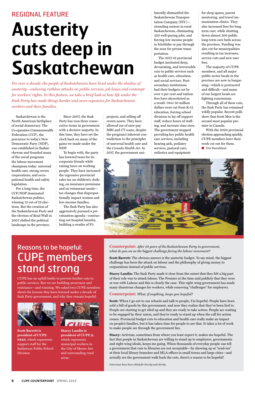Saskatchewan is the North American birthplace of social democracy. The Co-operative Commonwealth Federation (CCF), the precursor to today's New Democratic Party (NDP), was established in Saskatchewan and founded many of the social programs the labour movement champions today: universal health care, strong crown corporations, and occupational health and safety legislation.

For a long time, the CCF/NDP dominated Saskatchewan politics, winning 12 out of 19 elections. But the creation of the Saskatchewan Party and the election of Brad Wall in 2007 shifted the political landscape in the province.

Since 2007, the Sask Party has won three consecutive terms in government with a decisive majority. In this time, they have set the clock back on many of the gains we made under the NDP.

To begin with, the party has lowered taxes for its corporate friends while raising taxes on working people. They have increased the regressive provincial sales tax on children's clothing, on insurance premiums and on restaurant meals tax changes that disproportionally impact women and low-income families.

The Sask Party has also aggressively pursued a privatization agenda—contracting out hospital laundry, building a swathe of P3

i

projects, and selling off crown assets. They have allowed use of user-pay MRI and CT scans, despite the program's inherent contradiction to the principles of universal health care and the *Canada Health Act*. In 2017, the government uni-

With the 2020 provincial election approaching quickly, CUPE members have their work cut out for them. ■ **Tria Donaldson** 



laterally dismantled the Saskatchewan Transportation Company (STC) stranding seniors in rural Saskatchewan, eliminating 250 well-paying jobs, and forcing low income people to hitchhike or pay through the nose for private transportation.

The 2017-18 provincial budget instituted deep, devastating, and irreversible cuts to public services such as health care, education, and social services. Postsecondary institutions had their budgets cut by over 5 per cent and tuition fees have skyrocketed as a result. Over 50 million dollars were cut from K-12 education, forcing school divisions to lay off support staff, reduce hours of staffing, and increase class sizes. The government stopped providing key public health care services, including hearing aids, podiatry services, pastoral care, orthotics and equipment

for sleep apnea, parent mentoring, and travel immunization clinics. They also increased fees for long term care, while shutting down almost 200 public long-term care beds across the province. Funding was also cut for municipalities resulting in tax increases, service cuts and new user fees.

The majority of CUPE members, and all major public sector locals in the province are now in bargaining—which is protracted and difficult—and many of our largest locals are fighting concessions.

Through all of these cuts, the Sask Party has remained wildly popular. Recent polls show that Scott Moe is the second most popular premier in Canada.

#### REGIONAL FEATURE

## **Austerity cuts deep in Saskatchewan**

*For over a decade, the people of Saskatchewan have lived under the shadow of austerity—enduring ruthless attacks on public services, job losses and contempt for workers' rights. In this feature, we take a brief look at how life under the Sask Party has made things harder and more expensive for Saskatchewan workers and their families.*

## Reasons to be hopeful: CUPE members stand strong

CUPE has an uphill battle to prevent further cuts to public services. But we are building awareness and resistance—and winning. We asked two CUPE members

about the lessons they have learned under a decade of Sask Party government, and why they remain hopeful.





**Stacey Landin is president of CUPE 9**, which represents municipal workers in the City of Moose Jaw and surrounding rural areas.

**Counterpoint:** *After 10 years of the Saskatchewan Party in government, what do you see as the biggest challenge facing the labour movement?* 

**Scott Barrett:** The obvious answer is the austerity budget. To my mind, the biggest challenge has been the attack on labour and the philosophy of giving money to corporations instead of public services.

**Stacey Landin:** The Sask Party made it clear from the outset that they felt a big part of their role was to attack labour. The Premier at the time said publicly that they were at war with Labour and this is clearly the case. This right-wing government has made many disastrous changes for workers, while removing "challenges" for employers.

**Counterpoint:** *What, if anything, keeps you hopeful?* 

**Scott:** When I go out to our schools and talk to people, I'm hopeful. People have been sold a bill of goods by this government, and now they realize that they've been lied to. People are starting to get riled up and they are ready to take action. People are waiting to be engaged by their union, and they're ready to stand up when the call for action comes. Provincial budget cuts to education and health care really make an impact on people's families, but it has taken time for people to see that. It takes a lot of work to make people see through the government lies.

**Stacey:** Activism, sometimes from where you least expect it, makes me hopeful. The fact that people in Saskatchewan are willing to stand up to employers, governments and right-wing ideals, keeps me going. When thousands of everyday people can tell a government that cuts to libraries are not acceptable—by showing up at "read-ins" at their local library branches and MLA offices in small towns and large cities—and actually see the government walk back the cuts, there's a reason to be hopeful!

*Interviews have been edited for brevity and clarity.*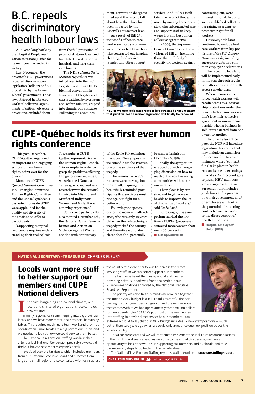A 16-year-long battle by the Hospital Employees' Union to restore justice for its members has ended in victory.

Last November, the province's NDP government repealed discriminatory legislation (Bills 29 and 94) brought in by the former Liberal government. Those laws stripped health care workers' collective agreements of critical job security provisions, excluded them

from the full protection of provincial labour laws, and facilitated privatization in hospitals and long-term care homes.

The NDP's *Health Sector Statutes Repeal Act* was introduced into the B.C. Legislature during HEU's biennial convention in November. Delegates and guests watched by livestream and, within minutes, erupted into thunderous applause. Following the announcement, convention delegates lined up at the mics to talk about how their lives had been impacted by the Liberal's anti-worker laws.

As a result of Bill 29, thousands of health care workers—mostly women were fired as health authorities contracted out hospital cleaning, food services, laundry and other support

services. And Bill 94 facilitated the layoff of thousands more, by nursing home operators who subcontracted care and support staff to keep wages low and bust union collective agreements.

In 2007, the Supreme Court of Canada ruled provisions of Bill 29, including those that nullified job security protections against contracting out, were unconstitutional. In doing so, it established collective bargaining as a charterprotected right for all workers.

However, both laws continued to exclude health care workers from key provisions of the *B.C. Labour Relations Code*, including successor rights and common employer declarations.

The repealing legislation will be implemented early in the year through regulation after consultation with sector stakeholders.

When it comes into force, health workers will regain access to successorship protections under the *Code*, which ensure workers don't lose their collective agreement or union membership when a business is sold or transferred from one owner to another.

The union also anticipates the NDP will introduce legislation this spring that may include an expansion of successorship to cover instances where "contract flips" take place in health care and some other settings.

And as Counterpoint goes to press, HEU members are voting on a tentative agreement that includes guidelines and a process by which government and/ or employers will look at the potential of returning contracted-out services to the direct control of health authorities.

■ **Hospital Employees' Union (HEU)**

#### **NATIONAL SECRETARY-TREASURER** CHARLES FLEURY

the country: the clear priority was to increase the direct servicing staff, so we can better support our members.

The Task Force heard the message loud and clear, and providing better support was front and center in our 25 recommendations approved by the National Executive



Board last September.

The priority was also fresh in mind when we put together the union's 2019 budget last fall. Thanks to careful financial oversight, strong membership growth and the new revenue that comes with it, we had approximately three million dollars for new spending for 2019. We put most of the new money into staffing to provide direct service to our members. I am

extremely proud to say that our 2019 budget includes 17 new staff positions—much better than two years ago when we could only announce one new position across the whole country.

This a concrete start and we will continue to implement the Task Force recommendations in the months and years ahead. As we come to the end of this decade, we have an opportunity to look at how CUPE is supporting our members and our locals, and take the necessary steps to do better in the decade ahead.

The National Task Force on Staffing report is available online at **cupe.ca/staffing-report**.

**CHARLES FLEURY ONLINE 3** twitter.com/CUPENatSec

## B.C. repeals discriminatory health labour laws

## **CUPE-Québec holds its first ever human rights conference**



HEU convention delegates react to live-streamed announcement that punitive health worker legislation will finally be repealed.

**Locals want more staff to better support our members and CUPE** 

#### **National delivers**

**I** n today's bargaining and political climate, our locals and chartered organizations face complex new realities.

In many regions, locals are merging into big provincial locals, and we have more central and provincial bargaining tables. This requires much more team work and provincial coordination. Small locals are a big part of our union, and we needed to look at how we could service them better.

The National Task Force on Staffing was launched after our last National Convention precisely so we could find out how to best meet everyone's needs.

I presided over the taskforce, which included members from our National Executive Board and directors from large and small regions. I also consulted with locals across

This past December, CUPE-Québec organized an important and engaging symposium on human rights, a first ever for the division.

Members of CUPE-Québec's Women's Committee, Pink Triangle Committee, Human Rights Committee, and the Conseil québécois des autochtones du SCFP were applauded for the quality and diversity of the sessions on offer to participants.

"Supporting marginalized people requires understanding their reality," said

Josée Aubé, a CUPE-Québec representative in the Human Rights Branch. "For example, in order to grasp the problems affecting Indigenous communities, we welcomed Natacha Tanguay, who worked as a researcher with the National Inquiry into Missing and Murdered Indigenous Women and Girls. It was a moving experience."

Conference participants also marked December 6th, the National Day of Remembrance and Action on Violence Against Women and the 29th anniversary

of the École Polytechnique massacre. The symposium welcomed Nathalie Provost, one of the survivors of that tragedy.

The feminist activist's remarks were moving, but most of all, inspiring. She beautifully reminded participants that survivors must rise again to fight for a better world.

Following the speech, one of the women in attendance, who was only 13 years old when the Polytechnique tragedy rocked the country and the entire world, declared that she "personally

became a feminist on December 6, 1989!"

Finally, the symposium wrapped up with an engaging discussion on how to reach out to equity-seeking communities within our union ranks.

"Their place is by our side, and together we will be able to improve the lot of thousands of workers," said Josée Aubé.

Interestingly, this symposium marked the first time a CUPE-Québec event attracted more women than men (60 per cent).

■ **Lisa Djevahirdjian**